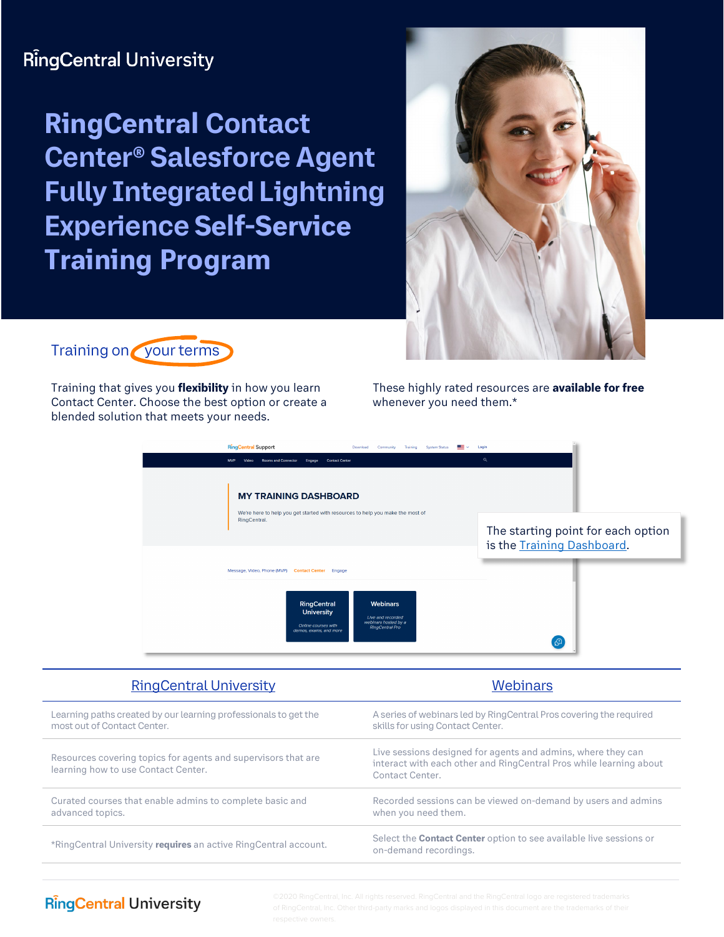# **RingCentral University**

**RingCentral Contact Center® Salesforce Agent Fully Integrated Lightning Experience Self-Service Training Program**





Training that gives you **flexibility** in how you learn Contact Center. Choose the best option or create a blended solution that meets your needs.

These highly rated resources are **available for free** whenever you need them.\*



| <b>RingCentral University</b>                                                                        | <b>Webinars</b>                                                                                                                                       |
|------------------------------------------------------------------------------------------------------|-------------------------------------------------------------------------------------------------------------------------------------------------------|
| Learning paths created by our learning professionals to get the<br>most out of Contact Center.       | A series of webinars led by RingCentral Pros covering the required<br>skills for using Contact Center.                                                |
| Resources covering topics for agents and supervisors that are<br>learning how to use Contact Center. | Live sessions designed for agents and admins, where they can<br>interact with each other and RingCentral Pros while learning about<br>Contact Center. |
| Curated courses that enable admins to complete basic and<br>advanced topics.                         | Recorded sessions can be viewed on-demand by users and admins<br>when you need them.                                                                  |
| *RingCentral University requires an active RingCentral account.                                      | Select the <b>Contact Center</b> option to see available live sessions or<br>on-demand recordings.                                                    |
|                                                                                                      |                                                                                                                                                       |

# **RingCentral University**